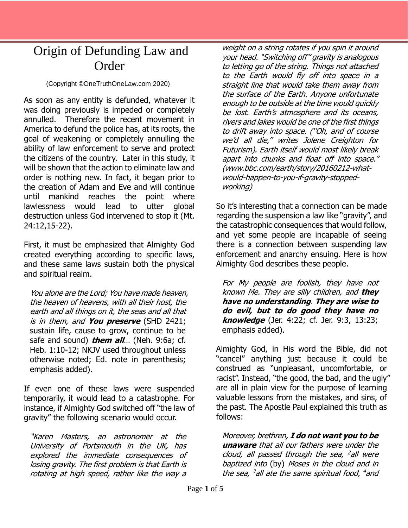## Origin of Defunding Law and **Order**

## (Copyright ©OneTruthOneLaw.com 2020)

As soon as any entity is defunded, whatever it was doing previously is impeded or completely annulled. Therefore the recent movement in America to defund the police has, at its roots, the goal of weakening or completely annulling the ability of law enforcement to serve and protect the citizens of the country. Later in this study, it will be shown that the action to eliminate law and order is nothing new. In fact, it began prior to the creation of Adam and Eve and will continue until mankind reaches the point where lawlessness would lead to utter global destruction unless God intervened to stop it (Mt. 24:12,15-22).

First, it must be emphasized that Almighty God created everything according to specific laws, and these same laws sustain both the physical and spiritual realm.

You alone are the Lord; You have made heaven, the heaven of heavens, with all their host, the earth and all things on it, the seas and all that is in them, and **You preserve** (SHD 2421; sustain life, cause to grow, continue to be safe and sound) **them all**… (Neh. 9:6a; cf. Heb. 1:10-12; NKJV used throughout unless otherwise noted; Ed. note in parenthesis; emphasis added).

If even one of these laws were suspended temporarily, it would lead to a catastrophe. For instance, if Almighty God switched off "the law of gravity" the following scenario would occur.

"Karen Masters, an astronomer at the University of Portsmouth in the UK, has explored the immediate consequences of losing gravity. The first problem is that Earth is rotating at high speed, rather like the way a

weight on a string rotates if you spin it around your head. "Switching off" gravity is analogous to letting go of the string. Things not attached to the Earth would fly off into space in a straight line that would take them away from the surface of the Earth. Anyone unfortunate enough to be outside at the time would quickly be lost. Earth's atmosphere and its oceans, rivers and lakes would be one of the first things to drift away into space. ("Oh, and of course we'd all die," writes Jolene Creighton for Futurism). Earth itself would most likely break apart into chunks and float off into space." (www.bbc.com/earth/story/20160212-whatwould-happen-to-you-if-gravity-stoppedworking)

So it's interesting that a connection can be made regarding the suspension a law like "gravity", and the catastrophic consequences that would follow, and yet some people are incapable of seeing there is a connection between suspending law enforcement and anarchy ensuing. Here is how Almighty God describes these people.

For My people are foolish, they have not known Me. They are silly children, and **they have no understanding**. **They are wise to do evil, but to do good they have no knowledge** (Jer. 4:22; cf. Jer. 9:3, 13:23; emphasis added).

Almighty God, in His word the Bible, did not "cancel" anything just because it could be construed as "unpleasant, uncomfortable, or racist". Instead, "the good, the bad, and the ugly" are all in plain view for the purpose of learning valuable lessons from the mistakes, and sins, of the past. The Apostle Paul explained this truth as follows:

Moreover, brethren, **I do not want you to be unaware** that all our fathers were under the cloud, all passed through the sea, <sup>2</sup> all were baptized into (by) Moses in the cloud and in the sea, <sup>3</sup>all ate the same spiritual food, <sup>4</sup>and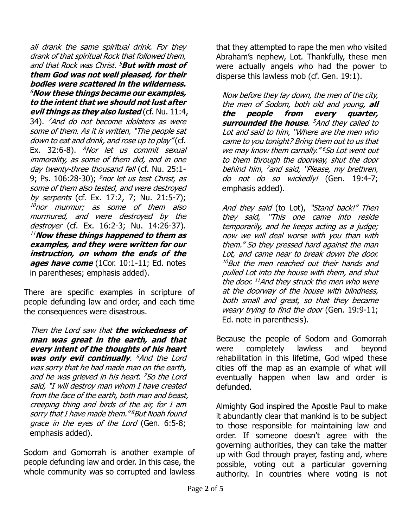all drank the same spiritual drink. For they drank of that spiritual Rock that followed them, and that Rock was Christ. <sup>5</sup>**But with most of them God was not well pleased, for their bodies were scattered in the wilderness.**  <sup>6</sup>**Now these things became our examples, to the intent that we should not lust after evil things as they also lusted** (cf. Nu. 11:4, 34). <sup>7</sup>And do not become idolaters as were some of them. As it is written, "The people sat down to eat and drink, and rose up to play" (cf. Ex. 32:6-8).  $8$ Nor let us commit sexual immorality, as some of them did, and in one day twenty-three thousand fell (cf. Nu. 25:1-9; Ps. 106:28-30); <sup>9</sup>nor let us test Christ, as some of them also tested, and were destroyed by serpents (cf. Ex. 17:2, 7; Nu. 21:5-7); 10nor murmur; as some of them also murmured, and were destroyed by the destroyer (cf. Ex. 16:2-3; Nu. 14:26-37). <sup>11</sup>**Now these things happened to them as examples, and they were written for our instruction, on whom the ends of the ages have come** (1Cor. 10:1-11; Ed. notes in parentheses; emphasis added).

There are specific examples in scripture of people defunding law and order, and each time the consequences were disastrous.

Then the Lord saw that **the wickedness of man was great in the earth, and that every intent of the thoughts of his heart was only evil continually**. <sup>6</sup>And the Lord was sorry that he had made man on the earth, and he was grieved in his heart. <sup>7</sup>So the Lord <sup>s</sup>aid, "I will destroy man whom I have created from the face of the earth, both man and beast, creeping thing and birds of the air, for I am sorry that I have made them."<sup>8</sup>But Noah found grace in the eyes of the Lord (Gen. 6:5-8; emphasis added).

Sodom and Gomorrah is another example of people defunding law and order. In this case, the whole community was so corrupted and lawless that they attempted to rape the men who visited Abraham's nephew, Lot. Thankfully, these men were actually angels who had the power to disperse this lawless mob (cf. Gen. 19:1).

Now before they lay down, the men of the city, the men of Sodom, both old and young, **all the people from every quarter, surrounded the house**. <sup>5</sup>And they called to Lot and said to him, "Where are the men who came to you tonight? Bring them out to us that we may know them carnally."<sup>6</sup>So Lot went out to them through the doorway, shut the door behind him, <sup>7</sup> and said, "Please, my brethren, do not do so wickedly! (Gen. 19:4-7; emphasis added).

And they said (to Lot), "Stand back!" Then they said, "This one came into reside temporarily, and he keeps acting as a judge; now we will deal worse with you than with them." So they pressed hard against the man Lot, and came near to break down the door. <sup>10</sup>But the men reached out their hands and pulled Lot into the house with them, and shut the door. <sup>11</sup>And they struck the men who were at the doorway of the house with blindness, both small and great, so that they became weary trying to find the door (Gen. 19:9-11; Ed. note in parenthesis).

Because the people of Sodom and Gomorrah were completely lawless and beyond rehabilitation in this lifetime, God wiped these cities off the map as an example of what will eventually happen when law and order is defunded.

Almighty God inspired the Apostle Paul to make it abundantly clear that mankind is to be subject to those responsible for maintaining law and order. If someone doesn't agree with the governing authorities, they can take the matter up with God through prayer, fasting and, where possible, voting out a particular governing authority. In countries where voting is not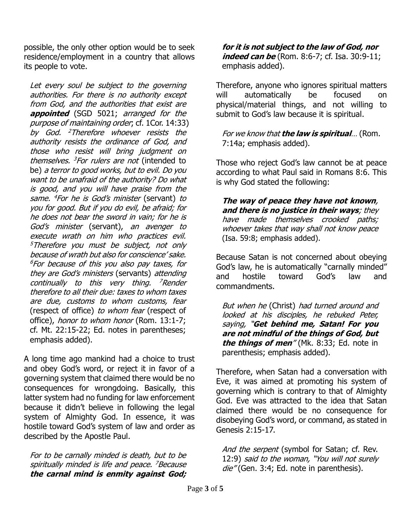possible, the only other option would be to seek residence/employment in a country that allows its people to vote.

Let every soul be subject to the governing authorities. For there is no authority except from God, and the authorities that exist are **appointed** (SGD 5021; arranged for the purpose of maintaining order; cf. 1Cor. 14:33) by God. <sup>2</sup>Therefore whoever resists the authority resists the ordinance of God, and those who resist will bring judgment on themselves. <sup>3</sup>For rulers are not (intended to be) a terror to good works, but to evil. Do you want to be unafraid of the authority? Do what is good, and you will have praise from the same. <sup>4</sup>For he is God's minister (servant) to you for good. But if you do evil, be afraid; for he does not bear the sword in vain; for he is God's minister (servant), an avenger to execute wrath on him who practices evil. <sup>5</sup>Therefore you must be subject, not only because of wrath but also for conscience' sake.  $6$  For because of this you also pay taxes, for they are God's ministers (servants) attending continually to this very thing. <sup>7</sup>Render therefore to all their due: taxes to whom taxes are due, customs to whom customs, fear (respect of office) to whom fear (respect of office), honor to whom honor (Rom. 13:1-7; cf. Mt. 22:15-22; Ed. notes in parentheses; emphasis added).

A long time ago mankind had a choice to trust and obey God's word, or reject it in favor of a governing system that claimed there would be no consequences for wrongdoing. Basically, this latter system had no funding for law enforcement because it didn't believe in following the legal system of Almighty God. In essence, it was hostile toward God's system of law and order as described by the Apostle Paul.

For to be carnally minded is death, but to be spiritually minded is life and peace. <sup>7</sup>Because **the carnal mind is enmity against God;**  **for it is not subject to the law of God, nor indeed can be** (Rom. 8:6-7; cf. Isa. 30:9-11; emphasis added).

Therefore, anyone who ignores spiritual matters will automatically be focused on physical/material things, and not willing to submit to God's law because it is spiritual.

For we know that **the law is spiritual**… (Rom. 7:14a; emphasis added).

Those who reject God's law cannot be at peace according to what Paul said in Romans 8:6. This is why God stated the following:

**The way of peace they have not known**, **and there is no justice in their ways**; they have made themselves crooked paths; whoever takes that way shall not know peace (Isa. 59:8; emphasis added).

Because Satan is not concerned about obeying God's law, he is automatically "carnally minded" and hostile toward God's law and commandments.

But when he (Christ) had turned around and looked at his disciples, he rebuked Peter, saying, "**Get behind me, Satan! For you are not mindful of the things of God, but the things of men**" (Mk. 8:33; Ed. note in parenthesis; emphasis added).

Therefore, when Satan had a conversation with Eve, it was aimed at promoting his system of governing which is contrary to that of Almighty God. Eve was attracted to the idea that Satan claimed there would be no consequence for disobeying God's word, or command, as stated in Genesis 2:15-17.

And the serpent (symbol for Satan; cf. Rev. 12:9) said to the woman, "You will not surely die" (Gen. 3:4; Ed. note in parenthesis).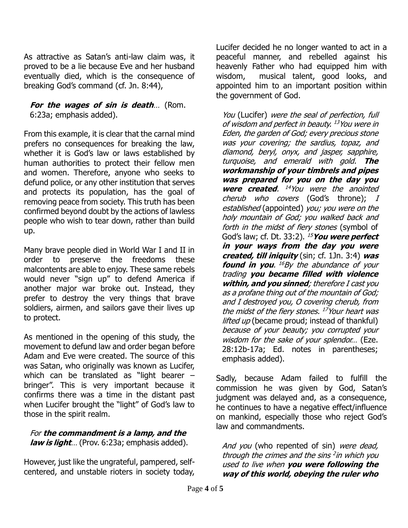As attractive as Satan's anti-law claim was, it proved to be a lie because Eve and her husband eventually died, which is the consequence of breaking God's command (cf. Jn. 8:44),

## **For the wages of sin is death**… (Rom. 6:23a; emphasis added).

From this example, it is clear that the carnal mind prefers no consequences for breaking the law, whether it is God's law or laws established by human authorities to protect their fellow men and women. Therefore, anyone who seeks to defund police, or any other institution that serves and protects its population, has the goal of removing peace from society. This truth has been confirmed beyond doubt by the actions of lawless people who wish to tear down, rather than build up.

Many brave people died in World War I and II in order to preserve the freedoms these malcontents are able to enjoy. These same rebels would never "sign up" to defend America if another major war broke out. Instead, they prefer to destroy the very things that brave soldiers, airmen, and sailors gave their lives up to protect.

As mentioned in the opening of this study, the movement to defund law and order began before Adam and Eve were created. The source of this was Satan, who originally was known as Lucifer, which can be translated as "light bearer – bringer". This is very important because it confirms there was a time in the distant past when Lucifer brought the "light" of God's law to those in the spirit realm.

## For **the commandment is a lamp, and the law is light**… (Prov. 6:23a; emphasis added).

However, just like the ungrateful, pampered, selfcentered, and unstable rioters in society today, Lucifer decided he no longer wanted to act in a peaceful manner, and rebelled against his heavenly Father who had equipped him with wisdom, musical talent, good looks, and appointed him to an important position within the government of God.

You (Lucifer) were the seal of perfection, full of wisdom and perfect in beauty. <sup>13</sup>You were in Eden, the garden of God; every precious stone was your covering; the sardius, topaz, and diamond, beryl, onyx, and jasper, sapphire, turquoise, and emerald with gold. **The workmanship of your timbrels and pipes was prepared for you on the day you were created**. <sup>14</sup>You were the anointed cherub who covers (God's throne); I established (appointed) you; you were on the holy mountain of God; you walked back and forth in the midst of fiery stones (symbol of God's law; cf. Dt. 33:2). <sup>15</sup>**You were perfect in your ways from the day you were created, till iniquity** (sin; cf. 1Jn. 3:4) **was found in you.** <sup>16</sup>By the abundance of your trading **you became filled with violence within, and you sinned**; therefore I cast you as a profane thing out of the mountain of God; and I destroyed you, O covering cherub, from the midst of the fiery stones. <sup>17</sup>Your heart was lifted up (became proud; instead of thankful) because of your beauty; you corrupted your wisdom for the sake of your splendor... (Eze. 28:12b-17a; Ed. notes in parentheses; emphasis added).

Sadly, because Adam failed to fulfill the commission he was given by God, Satan's judgment was delayed and, as a consequence, he continues to have a negative effect/influence on mankind, especially those who reject God's law and commandments.

And you (who repented of sin) were dead, through the crimes and the sins <sup>2</sup> in which you used to live when **you were following the way of this world, obeying the ruler who**